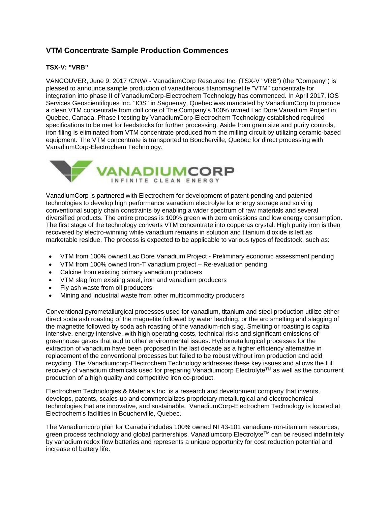## **VTM Concentrate Sample Production Commences**

## **TSX-V: "VRB"**

VANCOUVER, June 9, 2017 /CNW/ - VanadiumCorp Resource Inc. (TSX-V "VRB") (the "Company") is pleased to announce sample production of vanadiferous titanomagnetite "VTM" concentrate for integration into phase II of VanadiumCorp-Electrochem Technology has commenced. In April 2017, IOS Services Geoscientifiques Inc. "IOS" in Saguenay, Quebec was mandated by VanadiumCorp to produce a clean VTM concentrate from drill core of The Company's 100% owned Lac Dore Vanadium Project in Quebec, Canada. Phase I testing by VanadiumCorp-Electrochem Technology established required specifications to be met for feedstocks for further processing. Aside from grain size and purity controls, iron filing is eliminated from VTM concentrate produced from the milling circuit by utilizing ceramic-based equipment. The VTM concentrate is transported to Boucherville, Quebec for direct processing with VanadiumCorp-Electrochem Technology.



VanadiumCorp is partnered with Electrochem for development of patent-pending and patented technologies to develop high performance vanadium electrolyte for energy storage and solving conventional supply chain constraints by enabling a wider spectrum of raw materials and several diversified products. The entire process is 100% green with zero emissions and low energy consumption. The first stage of the technology converts VTM concentrate into copperas crystal. High purity iron is then recovered by electro-winning while vanadium remains in solution and titanium dioxide is left as marketable residue. The process is expected to be applicable to various types of feedstock, such as:

- VTM from 100% owned Lac Dore Vanadium Project Preliminary economic assessment pending
- VTM from 100% owned Iron-T vanadium project Re-evaluation pending
- Calcine from existing primary vanadium producers
- VTM slag from existing steel, iron and vanadium producers
- Fly ash waste from oil producers
- Mining and industrial waste from other multicommodity producers

Conventional pyrometallurgical processes used for vanadium, titanium and steel production utilize either direct soda ash roasting of the magnetite followed by water leaching, or the arc smelting and slagging of the magnetite followed by soda ash roasting of the vanadium-rich slag. Smelting or roasting is capital intensive, energy intensive, with high operating costs, technical risks and significant emissions of greenhouse gases that add to other environmental issues. Hydrometallurgical processes for the extraction of vanadium have been proposed in the last decade as a higher efficiency alternative in replacement of the conventional processes but failed to be robust without iron production and acid recycling. The Vanadiumcorp-Electrochem Technology addresses these key issues and allows the full recovery of vanadium chemicals used for preparing Vanadiumcorp Electrolyte™ as well as the concurrent production of a high quality and competitive iron co-product.

Electrochem Technologies & Materials Inc. is a research and development company that invents, develops, patents, scales-up and commercializes proprietary metallurgical and electrochemical technologies that are innovative, and sustainable. VanadiumCorp-Electrochem Technology is located at Electrochem's facilities in Boucherville, Quebec.

The Vanadiumcorp plan for Canada includes 100% owned NI 43-101 vanadium-iron-titanium resources, green process technology and global partnerships. Vanadiumcorp Electrolyte™ can be reused indefinitely by vanadium redox flow batteries and represents a unique opportunity for cost reduction potential and increase of battery life.